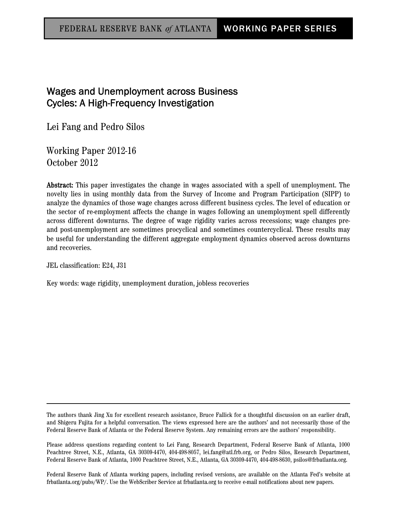### Wages and Unemployment across Business Cycles: A High-Frequency Investigation

Lei Fang and Pedro Silos

Working Paper 2012-16 October 2012

Abstract: This paper investigates the change in wages associated with a spell of unemployment. The novelty lies in using monthly data from the Survey of Income and Program Participation (SIPP) to analyze the dynamics of those wage changes across different business cycles. The level of education or the sector of re-employment affects the change in wages following an unemployment spell differently across different downturns. The degree of wage rigidity varies across recessions; wage changes preand post-unemployment are sometimes procyclical and sometimes countercyclical. These results may be useful for understanding the different aggregate employment dynamics observed across downturns and recoveries.

JEL classification: E24, J31

Key words: wage rigidity, unemployment duration, jobless recoveries

The authors thank Jing Xu for excellent research assistance, Bruce Fallick for a thoughtful discussion on an earlier draft, and Shigeru Fujita for a helpful conversation. The views expressed here are the authors' and not necessarily those of the Federal Reserve Bank of Atlanta or the Federal Reserve System. Any remaining errors are the authors' responsibility.

Please address questions regarding content to Lei Fang, Research Department, Federal Reserve Bank of Atlanta, 1000 Peachtree Street, N.E., Atlanta, GA 30309-4470, 404-498-8057, lei.fang@atl.frb.org, or Pedro Silos, Research Department, Federal Reserve Bank of Atlanta, 1000 Peachtree Street, N.E., Atlanta, GA 30309-4470, 404-498-8630, psilos@frbatlanta.org.

Federal Reserve Bank of Atlanta working papers, including revised versions, are available on the Atlanta Fed's website at frbatlanta.org/pubs/WP/. Use the WebScriber Service at frbatlanta.org to receive e-mail notifications about new papers.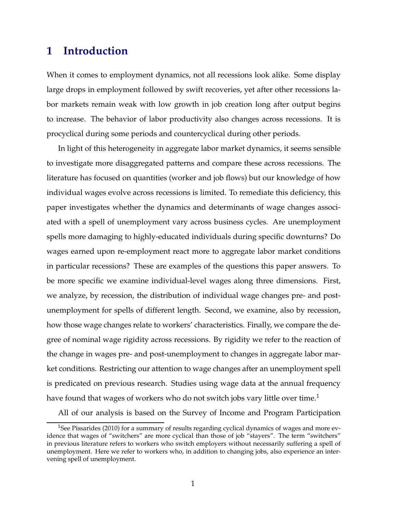### **1 Introduction**

When it comes to employment dynamics, not all recessions look alike. Some display large drops in employment followed by swift recoveries, yet after other recessions labor markets remain weak with low growth in job creation long after output begins to increase. The behavior of labor productivity also changes across recessions. It is procyclical during some periods and countercyclical during other periods.

In light of this heterogeneity in aggregate labor market dynamics, it seems sensible to investigate more disaggregated patterns and compare these across recessions. The literature has focused on quantities (worker and job flows) but our knowledge of how individual wages evolve across recessions is limited. To remediate this deficiency, this paper investigates whether the dynamics and determinants of wage changes associated with a spell of unemployment vary across business cycles. Are unemployment spells more damaging to highly-educated individuals during specific downturns? Do wages earned upon re-employment react more to aggregate labor market conditions in particular recessions? These are examples of the questions this paper answers. To be more specific we examine individual-level wages along three dimensions. First, we analyze, by recession, the distribution of individual wage changes pre- and postunemployment for spells of different length. Second, we examine, also by recession, how those wage changes relate to workers' characteristics. Finally, we compare the degree of nominal wage rigidity across recessions. By rigidity we refer to the reaction of the change in wages pre- and post-unemployment to changes in aggregate labor market conditions. Restricting our attention to wage changes after an unemployment spell is predicated on previous research. Studies using wage data at the annual frequency have found that wages of workers who do not switch jobs vary little over time.<sup>1</sup>

All of our analysis is based on the Survey of Income and Program Participation

<sup>&</sup>lt;sup>1</sup>See Pissarides (2010) for a summary of results regarding cyclical dynamics of wages and more evidence that wages of "switchers" are more cyclical than those of job "stayers". The term "switchers" in previous literature refers to workers who switch employers without necessarily suffering a spell of unemployment. Here we refer to workers who, in addition to changing jobs, also experience an intervening spell of unemployment.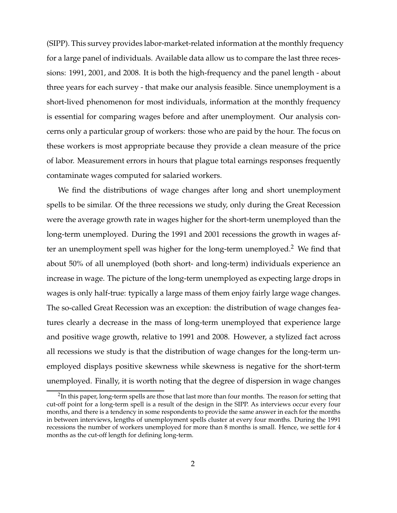(SIPP). This survey provides labor-market-related information at the monthly frequency for a large panel of individuals. Available data allow us to compare the last three recessions: 1991, 2001, and 2008. It is both the high-frequency and the panel length - about three years for each survey - that make our analysis feasible. Since unemployment is a short-lived phenomenon for most individuals, information at the monthly frequency is essential for comparing wages before and after unemployment. Our analysis concerns only a particular group of workers: those who are paid by the hour. The focus on these workers is most appropriate because they provide a clean measure of the price of labor. Measurement errors in hours that plague total earnings responses frequently contaminate wages computed for salaried workers.

We find the distributions of wage changes after long and short unemployment spells to be similar. Of the three recessions we study, only during the Great Recession were the average growth rate in wages higher for the short-term unemployed than the long-term unemployed. During the 1991 and 2001 recessions the growth in wages after an unemployment spell was higher for the long-term unemployed.<sup>2</sup> We find that about 50% of all unemployed (both short- and long-term) individuals experience an increase in wage. The picture of the long-term unemployed as expecting large drops in wages is only half-true: typically a large mass of them enjoy fairly large wage changes. The so-called Great Recession was an exception: the distribution of wage changes features clearly a decrease in the mass of long-term unemployed that experience large and positive wage growth, relative to 1991 and 2008. However, a stylized fact across all recessions we study is that the distribution of wage changes for the long-term unemployed displays positive skewness while skewness is negative for the short-term unemployed. Finally, it is worth noting that the degree of dispersion in wage changes

 $^2$ In this paper, long-term spells are those that last more than four months. The reason for setting that cut-off point for a long-term spell is a result of the design in the SIPP. As interviews occur every four months, and there is a tendency in some respondents to provide the same answer in each for the months in between interviews, lengths of unemployment spells cluster at every four months. During the 1991 recessions the number of workers unemployed for more than 8 months is small. Hence, we settle for 4 months as the cut-off length for defining long-term.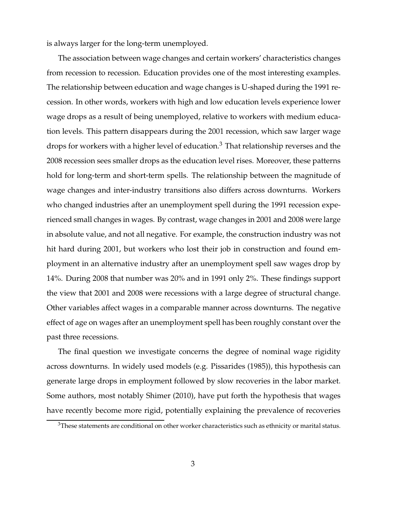is always larger for the long-term unemployed.

The association between wage changes and certain workers' characteristics changes from recession to recession. Education provides one of the most interesting examples. The relationship between education and wage changes is U-shaped during the 1991 recession. In other words, workers with high and low education levels experience lower wage drops as a result of being unemployed, relative to workers with medium education levels. This pattern disappears during the 2001 recession, which saw larger wage drops for workers with a higher level of education.<sup>3</sup> That relationship reverses and the 2008 recession sees smaller drops as the education level rises. Moreover, these patterns hold for long-term and short-term spells. The relationship between the magnitude of wage changes and inter-industry transitions also differs across downturns. Workers who changed industries after an unemployment spell during the 1991 recession experienced small changes in wages. By contrast, wage changes in 2001 and 2008 were large in absolute value, and not all negative. For example, the construction industry was not hit hard during 2001, but workers who lost their job in construction and found employment in an alternative industry after an unemployment spell saw wages drop by 14%. During 2008 that number was 20% and in 1991 only 2%. These findings support the view that 2001 and 2008 were recessions with a large degree of structural change. Other variables affect wages in a comparable manner across downturns. The negative effect of age on wages after an unemployment spell has been roughly constant over the past three recessions.

The final question we investigate concerns the degree of nominal wage rigidity across downturns. In widely used models (e.g. Pissarides (1985)), this hypothesis can generate large drops in employment followed by slow recoveries in the labor market. Some authors, most notably Shimer (2010), have put forth the hypothesis that wages have recently become more rigid, potentially explaining the prevalence of recoveries

 $3$ These statements are conditional on other worker characteristics such as ethnicity or marital status.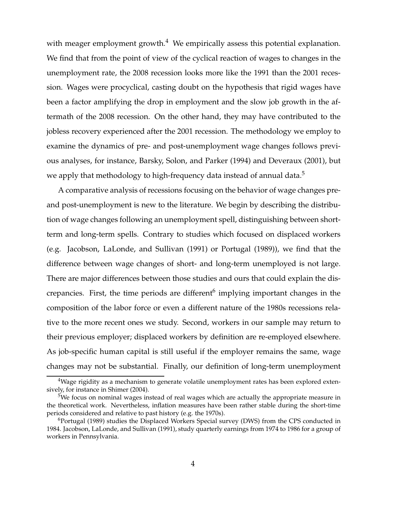with meager employment growth. $4$  We empirically assess this potential explanation. We find that from the point of view of the cyclical reaction of wages to changes in the unemployment rate, the 2008 recession looks more like the 1991 than the 2001 recession. Wages were procyclical, casting doubt on the hypothesis that rigid wages have been a factor amplifying the drop in employment and the slow job growth in the aftermath of the 2008 recession. On the other hand, they may have contributed to the jobless recovery experienced after the 2001 recession. The methodology we employ to examine the dynamics of pre- and post-unemployment wage changes follows previous analyses, for instance, Barsky, Solon, and Parker (1994) and Deveraux (2001), but we apply that methodology to high-frequency data instead of annual data.<sup>5</sup>

A comparative analysis of recessions focusing on the behavior of wage changes preand post-unemployment is new to the literature. We begin by describing the distribution of wage changes following an unemployment spell, distinguishing between shortterm and long-term spells. Contrary to studies which focused on displaced workers (e.g. Jacobson, LaLonde, and Sullivan (1991) or Portugal (1989)), we find that the difference between wage changes of short- and long-term unemployed is not large. There are major differences between those studies and ours that could explain the discrepancies. First, the time periods are different<sup>6</sup> implying important changes in the composition of the labor force or even a different nature of the 1980s recessions relative to the more recent ones we study. Second, workers in our sample may return to their previous employer; displaced workers by definition are re-employed elsewhere. As job-specific human capital is still useful if the employer remains the same, wage changes may not be substantial. Finally, our definition of long-term unemployment

 $4$ Wage rigidity as a mechanism to generate volatile unemployment rates has been explored extensively, for instance in Shimer (2004).

 $5$ We focus on nominal wages instead of real wages which are actually the appropriate measure in the theoretical work. Nevertheless, inflation measures have been rather stable during the short-time periods considered and relative to past history (e.g. the 1970s).

 $6$ Portugal (1989) studies the Displaced Workers Special survey (DWS) from the CPS conducted in 1984. Jacobson, LaLonde, and Sullivan (1991), study quarterly earnings from 1974 to 1986 for a group of workers in Pennsylvania.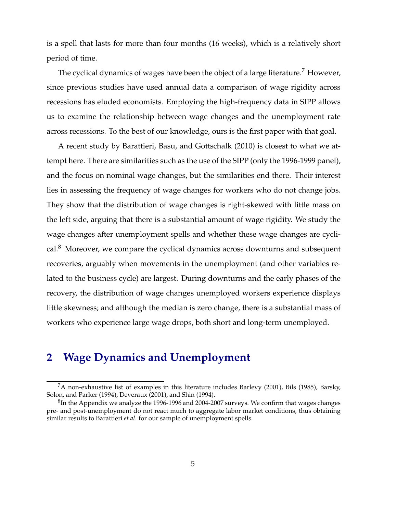is a spell that lasts for more than four months (16 weeks), which is a relatively short period of time.

The cyclical dynamics of wages have been the object of a large literature.<sup>7</sup> However, since previous studies have used annual data a comparison of wage rigidity across recessions has eluded economists. Employing the high-frequency data in SIPP allows us to examine the relationship between wage changes and the unemployment rate across recessions. To the best of our knowledge, ours is the first paper with that goal.

A recent study by Barattieri, Basu, and Gottschalk (2010) is closest to what we attempt here. There are similarities such as the use of the SIPP (only the 1996-1999 panel), and the focus on nominal wage changes, but the similarities end there. Their interest lies in assessing the frequency of wage changes for workers who do not change jobs. They show that the distribution of wage changes is right-skewed with little mass on the left side, arguing that there is a substantial amount of wage rigidity. We study the wage changes after unemployment spells and whether these wage changes are cyclical.<sup>8</sup> Moreover, we compare the cyclical dynamics across downturns and subsequent recoveries, arguably when movements in the unemployment (and other variables related to the business cycle) are largest. During downturns and the early phases of the recovery, the distribution of wage changes unemployed workers experience displays little skewness; and although the median is zero change, there is a substantial mass of workers who experience large wage drops, both short and long-term unemployed.

# **2 Wage Dynamics and Unemployment**

 $7A$  non-exhaustive list of examples in this literature includes Barlevy (2001), Bils (1985), Barsky, Solon, and Parker (1994), Deveraux (2001), and Shin (1994).

 ${}^{8}{\rm In}$  the Appendix we analyze the 1996-1996 and 2004-2007 surveys. We confirm that wages changes pre- and post-unemployment do not react much to aggregate labor market conditions, thus obtaining similar results to Barattieri *et al.* for our sample of unemployment spells.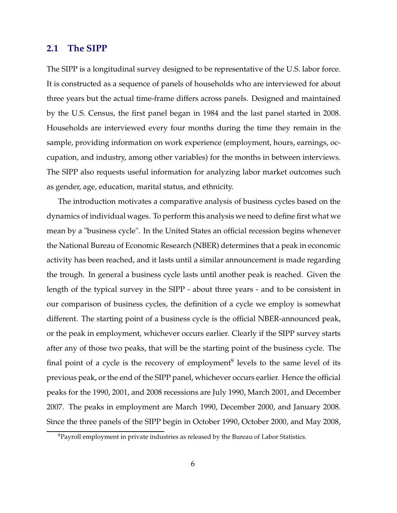#### **2.1 The SIPP**

The SIPP is a longitudinal survey designed to be representative of the U.S. labor force. It is constructed as a sequence of panels of households who are interviewed for about three years but the actual time-frame differs across panels. Designed and maintained by the U.S. Census, the first panel began in 1984 and the last panel started in 2008. Households are interviewed every four months during the time they remain in the sample, providing information on work experience (employment, hours, earnings, occupation, and industry, among other variables) for the months in between interviews. The SIPP also requests useful information for analyzing labor market outcomes such as gender, age, education, marital status, and ethnicity.

The introduction motivates a comparative analysis of business cycles based on the dynamics of individual wages. To perform this analysis we need to define first what we mean by a "business cycle". In the United States an official recession begins whenever the National Bureau of Economic Research (NBER) determines that a peak in economic activity has been reached, and it lasts until a similar announcement is made regarding the trough. In general a business cycle lasts until another peak is reached. Given the length of the typical survey in the SIPP - about three years - and to be consistent in our comparison of business cycles, the definition of a cycle we employ is somewhat different. The starting point of a business cycle is the official NBER-announced peak, or the peak in employment, whichever occurs earlier. Clearly if the SIPP survey starts after any of those two peaks, that will be the starting point of the business cycle. The final point of a cycle is the recovery of employment<sup>9</sup> levels to the same level of its previous peak, or the end of the SIPP panel, whichever occurs earlier. Hence the official peaks for the 1990, 2001, and 2008 recessions are July 1990, March 2001, and December 2007. The peaks in employment are March 1990, December 2000, and January 2008. Since the three panels of the SIPP begin in October 1990, October 2000, and May 2008,

 $9$ Payroll employment in private industries as released by the Bureau of Labor Statistics.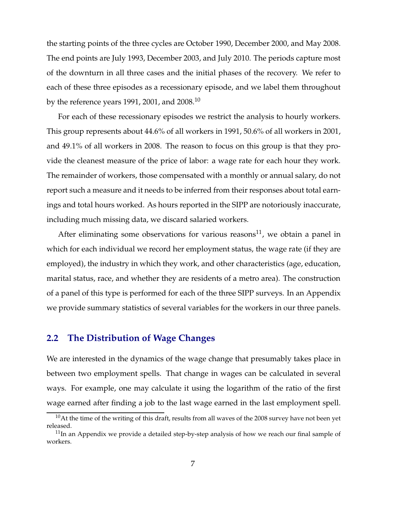the starting points of the three cycles are October 1990, December 2000, and May 2008. The end points are July 1993, December 2003, and July 2010. The periods capture most of the downturn in all three cases and the initial phases of the recovery. We refer to each of these three episodes as a recessionary episode, and we label them throughout by the reference years 1991, 2001, and  $2008$ <sup>10</sup>

For each of these recessionary episodes we restrict the analysis to hourly workers. This group represents about 44.6% of all workers in 1991, 50.6% of all workers in 2001, and 49.1% of all workers in 2008. The reason to focus on this group is that they provide the cleanest measure of the price of labor: a wage rate for each hour they work. The remainder of workers, those compensated with a monthly or annual salary, do not report such a measure and it needs to be inferred from their responses about total earnings and total hours worked. As hours reported in the SIPP are notoriously inaccurate, including much missing data, we discard salaried workers.

After eliminating some observations for various reasons<sup>11</sup>, we obtain a panel in which for each individual we record her employment status, the wage rate (if they are employed), the industry in which they work, and other characteristics (age, education, marital status, race, and whether they are residents of a metro area). The construction of a panel of this type is performed for each of the three SIPP surveys. In an Appendix we provide summary statistics of several variables for the workers in our three panels.

### **2.2 The Distribution of Wage Changes**

We are interested in the dynamics of the wage change that presumably takes place in between two employment spells. That change in wages can be calculated in several ways. For example, one may calculate it using the logarithm of the ratio of the first wage earned after finding a job to the last wage earned in the last employment spell.

 $10$ At the time of the writing of this draft, results from all waves of the 2008 survey have not been yet released.

 $11$ In an Appendix we provide a detailed step-by-step analysis of how we reach our final sample of workers.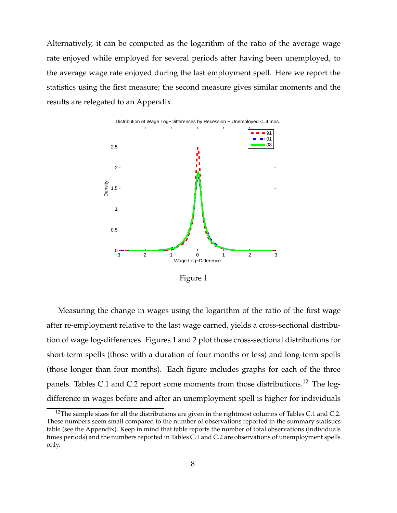Alternatively, it can be computed as the logarithm of the ratio of the average wage rate enjoyed while employed for several periods after having been unemployed, to the average wage rate enjoyed during the last employment spell. Here we report the statistics using the first measure; the second measure gives similar moments and the results are relegated to an Appendix.



Figure 1

Measuring the change in wages using the logarithm of the ratio of the first wage after re-employment relative to the last wage earned, yields a cross-sectional distribution of wage log-differences. Figures 1 and 2 plot those cross-sectional distributions for short-term spells (those with a duration of four months or less) and long-term spells (those longer than four months). Each figure includes graphs for each of the three panels. Tables C.1 and C.2 report some moments from those distributions.<sup>12</sup> The logdifference in wages before and after an unemployment spell is higher for individuals

<sup>&</sup>lt;sup>12</sup>The sample sizes for all the distributions are given in the rightmost columns of Tables C.1 and C.2. These numbers seem small compared to the number of observations reported in the summary statistics table (see the Appendix). Keep in mind that table reports the number of total observations (individuals times periods) and the numbers reported in Tables C.1 and C.2 are observations of unemployment spells only.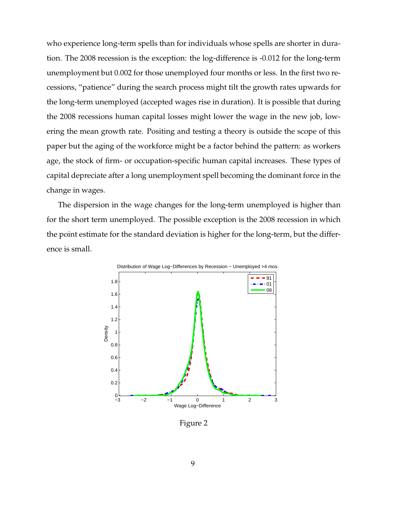who experience long-term spells than for individuals whose spells are shorter in duration. The 2008 recession is the exception: the log-difference is -0.012 for the long-term unemployment but 0.002 for those unemployed four months or less. In the first two recessions, "patience" during the search process might tilt the growth rates upwards for the long-term unemployed (accepted wages rise in duration). It is possible that during the 2008 recessions human capital losses might lower the wage in the new job, lowering the mean growth rate. Positing and testing a theory is outside the scope of this paper but the aging of the workforce might be a factor behind the pattern: as workers age, the stock of firm- or occupation-specific human capital increases. These types of capital depreciate after a long unemployment spell becoming the dominant force in the change in wages.

The dispersion in the wage changes for the long-term unemployed is higher than for the short term unemployed. The possible exception is the 2008 recession in which the point estimate for the standard deviation is higher for the long-term, but the difference is small.



Figure 2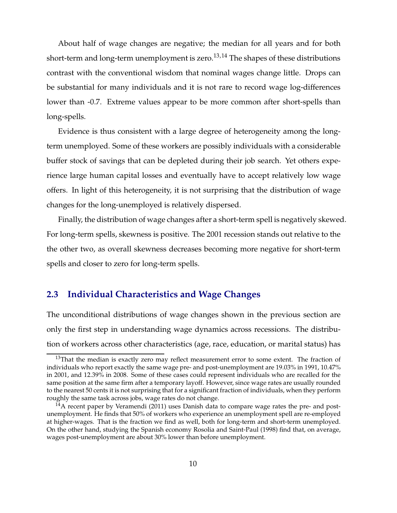About half of wage changes are negative; the median for all years and for both short-term and long-term unemployment is zero. $13,14$  The shapes of these distributions contrast with the conventional wisdom that nominal wages change little. Drops can be substantial for many individuals and it is not rare to record wage log-differences lower than -0.7. Extreme values appear to be more common after short-spells than long-spells.

Evidence is thus consistent with a large degree of heterogeneity among the longterm unemployed. Some of these workers are possibly individuals with a considerable buffer stock of savings that can be depleted during their job search. Yet others experience large human capital losses and eventually have to accept relatively low wage offers. In light of this heterogeneity, it is not surprising that the distribution of wage changes for the long-unemployed is relatively dispersed.

Finally, the distribution of wage changes after a short-term spell is negatively skewed. For long-term spells, skewness is positive. The 2001 recession stands out relative to the the other two, as overall skewness decreases becoming more negative for short-term spells and closer to zero for long-term spells.

### **2.3 Individual Characteristics and Wage Changes**

The unconditional distributions of wage changes shown in the previous section are only the first step in understanding wage dynamics across recessions. The distribution of workers across other characteristics (age, race, education, or marital status) has

 $13$ That the median is exactly zero may reflect measurement error to some extent. The fraction of individuals who report exactly the same wage pre- and post-unemployment are 19.03% in 1991, 10.47% in 2001, and 12.39% in 2008. Some of these cases could represent individuals who are recalled for the same position at the same firm after a temporary layoff. However, since wage rates are usually rounded to the nearest 50 cents it is not surprising that for a significant fraction of individuals, when they perform roughly the same task across jobs, wage rates do not change.

 $14A$  recent paper by Veramendi (2011) uses Danish data to compare wage rates the pre- and postunemployment. He finds that 50% of workers who experience an unemployment spell are re-employed at higher-wages. That is the fraction we find as well, both for long-term and short-term unemployed. On the other hand, studying the Spanish economy Rosolia and Saint-Paul (1998) find that, on average, wages post-unemployment are about 30% lower than before unemployment.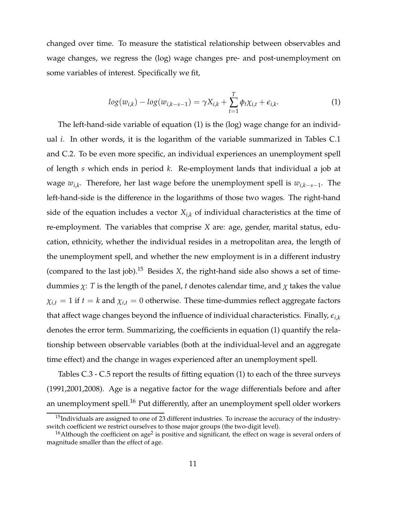changed over time. To measure the statistical relationship between observables and wage changes, we regress the (log) wage changes pre- and post-unemployment on some variables of interest. Specifically we fit,

$$
log(w_{i,k}) - log(w_{i,k-s-1}) = \gamma X_{i,k} + \sum_{t=1}^{T} \phi_t \chi_{i,t} + \epsilon_{i,k}.
$$
 (1)

The left-hand-side variable of equation (1) is the (log) wage change for an individual *i*. In other words, it is the logarithm of the variable summarized in Tables C.1 and C.2. To be even more specific, an individual experiences an unemployment spell of length *s* which ends in period *k*. Re-employment lands that individual a job at wage *wi*,*<sup>k</sup>* . Therefore, her last wage before the unemployment spell is *wi*,*k*−*s*−<sup>1</sup> . The left-hand-side is the difference in the logarithms of those two wages. The right-hand side of the equation includes a vector *Xi*,*<sup>k</sup>* of individual characteristics at the time of re-employment. The variables that comprise *X* are: age, gender, marital status, education, ethnicity, whether the individual resides in a metropolitan area, the length of the unemployment spell, and whether the new employment is in a different industry (compared to the last job).<sup>15</sup> Besides  $X$ , the right-hand side also shows a set of timedummies  $\chi$ : *T* is the length of the panel, *t* denotes calendar time, and  $\chi$  takes the value  $\chi_{i,t} = 1$  if  $t = k$  and  $\chi_{i,t} = 0$  otherwise. These time-dummies reflect aggregate factors that affect wage changes beyond the influence of individual characteristics. Finally, *ǫi*,*<sup>k</sup>* denotes the error term. Summarizing, the coefficients in equation (1) quantify the relationship between observable variables (both at the individual-level and an aggregate time effect) and the change in wages experienced after an unemployment spell.

Tables C.3 - C.5 report the results of fitting equation (1) to each of the three surveys (1991,2001,2008). Age is a negative factor for the wage differentials before and after an unemployment spell.<sup>16</sup> Put differently, after an unemployment spell older workers

<sup>&</sup>lt;sup>15</sup>Individuals are assigned to one of 23 different industries. To increase the accuracy of the industryswitch coefficient we restrict ourselves to those major groups (the two-digit level).

<sup>&</sup>lt;sup>16</sup>Although the coefficient on age<sup>2</sup> is positive and significant, the effect on wage is several orders of magnitude smaller than the effect of age.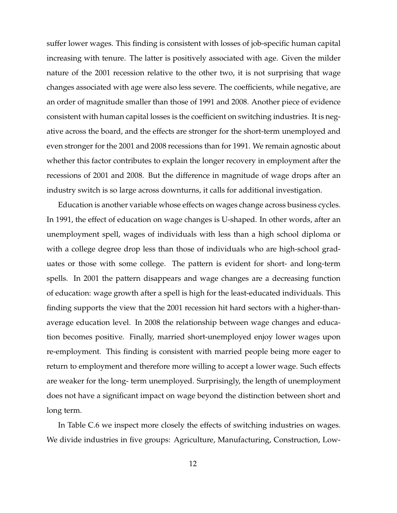suffer lower wages. This finding is consistent with losses of job-specific human capital increasing with tenure. The latter is positively associated with age. Given the milder nature of the 2001 recession relative to the other two, it is not surprising that wage changes associated with age were also less severe. The coefficients, while negative, are an order of magnitude smaller than those of 1991 and 2008. Another piece of evidence consistent with human capital losses is the coefficient on switching industries. It is negative across the board, and the effects are stronger for the short-term unemployed and even stronger for the 2001 and 2008 recessions than for 1991. We remain agnostic about whether this factor contributes to explain the longer recovery in employment after the recessions of 2001 and 2008. But the difference in magnitude of wage drops after an industry switch is so large across downturns, it calls for additional investigation.

Education is another variable whose effects on wages change across business cycles. In 1991, the effect of education on wage changes is U-shaped. In other words, after an unemployment spell, wages of individuals with less than a high school diploma or with a college degree drop less than those of individuals who are high-school graduates or those with some college. The pattern is evident for short- and long-term spells. In 2001 the pattern disappears and wage changes are a decreasing function of education: wage growth after a spell is high for the least-educated individuals. This finding supports the view that the 2001 recession hit hard sectors with a higher-thanaverage education level. In 2008 the relationship between wage changes and education becomes positive. Finally, married short-unemployed enjoy lower wages upon re-employment. This finding is consistent with married people being more eager to return to employment and therefore more willing to accept a lower wage. Such effects are weaker for the long- term unemployed. Surprisingly, the length of unemployment does not have a significant impact on wage beyond the distinction between short and long term.

In Table C.6 we inspect more closely the effects of switching industries on wages. We divide industries in five groups: Agriculture, Manufacturing, Construction, Low-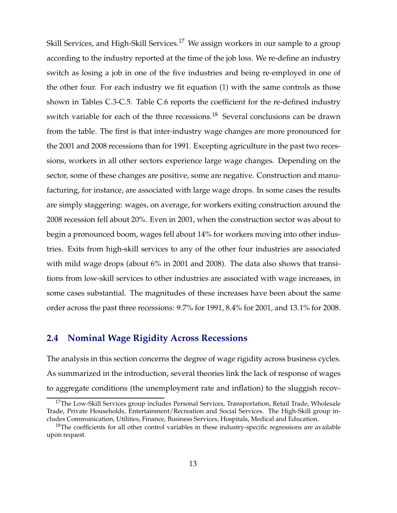Skill Services, and High-Skill Services.<sup>17</sup> We assign workers in our sample to a group according to the industry reported at the time of the job loss. We re-define an industry switch as losing a job in one of the five industries and being re-employed in one of the other four. For each industry we fit equation (1) with the same controls as those shown in Tables C.3-C.5. Table C.6 reports the coefficient for the re-defined industry switch variable for each of the three recessions.<sup>18</sup> Several conclusions can be drawn from the table. The first is that inter-industry wage changes are more pronounced for the 2001 and 2008 recessions than for 1991. Excepting agriculture in the past two recessions, workers in all other sectors experience large wage changes. Depending on the sector, some of these changes are positive, some are negative. Construction and manufacturing, for instance, are associated with large wage drops. In some cases the results are simply staggering: wages, on average, for workers exiting construction around the 2008 recession fell about 20%. Even in 2001, when the construction sector was about to begin a pronounced boom, wages fell about 14% for workers moving into other industries. Exits from high-skill services to any of the other four industries are associated with mild wage drops (about 6% in 2001 and 2008). The data also shows that transitions from low-skill services to other industries are associated with wage increases, in some cases substantial. The magnitudes of these increases have been about the same order across the past three recessions: 9.7% for 1991, 8.4% for 2001, and 13.1% for 2008.

#### **2.4 Nominal Wage Rigidity Across Recessions**

The analysis in this section concerns the degree of wage rigidity across business cycles. As summarized in the introduction, several theories link the lack of response of wages to aggregate conditions (the unemployment rate and inflation) to the sluggish recov-

<sup>&</sup>lt;sup>17</sup>The Low-Skill Services group includes Personal Services, Transportation, Retail Trade, Wholesale Trade, Private Households, Entertainment/Recreation and Social Services. The High-Skill group includes Communication, Utilities, Finance, Business Services, Hospitals, Medical and Education.

 $18$ The coefficients for all other control variables in these industry-specific regressions are available upon request.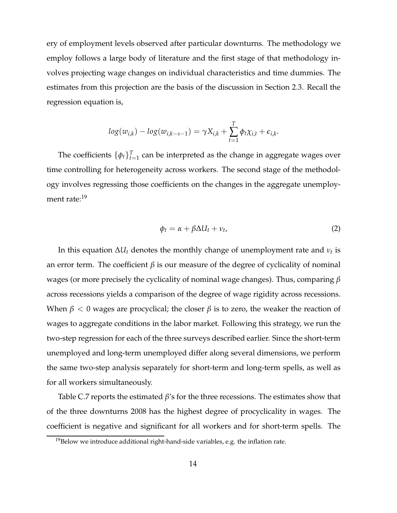ery of employment levels observed after particular downturns. The methodology we employ follows a large body of literature and the first stage of that methodology involves projecting wage changes on individual characteristics and time dummies. The estimates from this projection are the basis of the discussion in Section 2.3. Recall the regression equation is,

$$
log(w_{i,k}) - log(w_{i,k-s-1}) = \gamma X_{i,k} + \sum_{t=1}^{T} \phi_t \chi_{i,t} + \epsilon_{i,k}.
$$

The coefficients  $\{\phi_t\}_{t=1}^T$  can be interpreted as the change in aggregate wages over time controlling for heterogeneity across workers. The second stage of the methodology involves regressing those coefficients on the changes in the aggregate unemployment rate:<sup>19</sup>

$$
\phi_t = \alpha + \beta \Delta U_t + \nu_t, \qquad (2)
$$

In this equation ∆*U<sup>t</sup>* denotes the monthly change of unemployment rate and *ν<sup>t</sup>* is an error term. The coefficient  $\beta$  is our measure of the degree of cyclicality of nominal wages (or more precisely the cyclicality of nominal wage changes). Thus, comparing *β* across recessions yields a comparison of the degree of wage rigidity across recessions. When  $\beta$  < 0 wages are procyclical; the closer  $\beta$  is to zero, the weaker the reaction of wages to aggregate conditions in the labor market. Following this strategy, we run the two-step regression for each of the three surveys described earlier. Since the short-term unemployed and long-term unemployed differ along several dimensions, we perform the same two-step analysis separately for short-term and long-term spells, as well as for all workers simultaneously.

Table C.7 reports the estimated *β*'s for the three recessions. The estimates show that of the three downturns 2008 has the highest degree of procyclicality in wages. The coefficient is negative and significant for all workers and for short-term spells. The

 $19B$ elow we introduce additional right-hand-side variables, e.g. the inflation rate.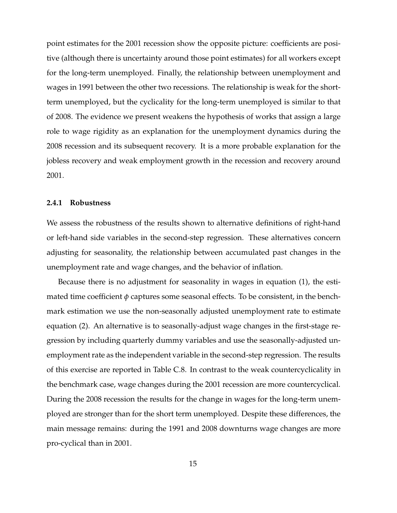point estimates for the 2001 recession show the opposite picture: coefficients are positive (although there is uncertainty around those point estimates) for all workers except for the long-term unemployed. Finally, the relationship between unemployment and wages in 1991 between the other two recessions. The relationship is weak for the shortterm unemployed, but the cyclicality for the long-term unemployed is similar to that of 2008. The evidence we present weakens the hypothesis of works that assign a large role to wage rigidity as an explanation for the unemployment dynamics during the 2008 recession and its subsequent recovery. It is a more probable explanation for the jobless recovery and weak employment growth in the recession and recovery around 2001.

#### **2.4.1 Robustness**

We assess the robustness of the results shown to alternative definitions of right-hand or left-hand side variables in the second-step regression. These alternatives concern adjusting for seasonality, the relationship between accumulated past changes in the unemployment rate and wage changes, and the behavior of inflation.

Because there is no adjustment for seasonality in wages in equation (1), the estimated time coefficient  $\phi$  captures some seasonal effects. To be consistent, in the benchmark estimation we use the non-seasonally adjusted unemployment rate to estimate equation (2). An alternative is to seasonally-adjust wage changes in the first-stage regression by including quarterly dummy variables and use the seasonally-adjusted unemployment rate as the independent variable in the second-step regression. The results of this exercise are reported in Table C.8. In contrast to the weak countercyclicality in the benchmark case, wage changes during the 2001 recession are more countercyclical. During the 2008 recession the results for the change in wages for the long-term unemployed are stronger than for the short term unemployed. Despite these differences, the main message remains: during the 1991 and 2008 downturns wage changes are more pro-cyclical than in 2001.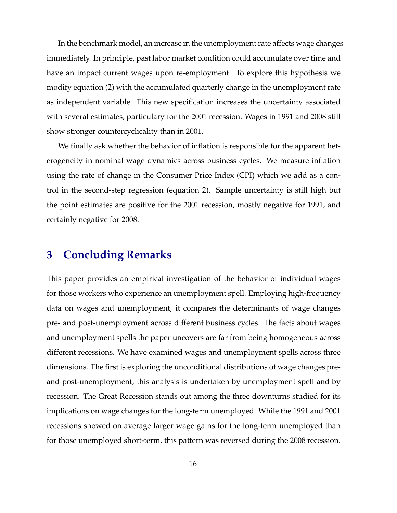In the benchmark model, an increase in the unemployment rate affects wage changes immediately. In principle, past labor market condition could accumulate over time and have an impact current wages upon re-employment. To explore this hypothesis we modify equation (2) with the accumulated quarterly change in the unemployment rate as independent variable. This new specification increases the uncertainty associated with several estimates, particulary for the 2001 recession. Wages in 1991 and 2008 still show stronger countercyclicality than in 2001.

We finally ask whether the behavior of inflation is responsible for the apparent heterogeneity in nominal wage dynamics across business cycles. We measure inflation using the rate of change in the Consumer Price Index (CPI) which we add as a control in the second-step regression (equation 2). Sample uncertainty is still high but the point estimates are positive for the 2001 recession, mostly negative for 1991, and certainly negative for 2008.

### **3 Concluding Remarks**

This paper provides an empirical investigation of the behavior of individual wages for those workers who experience an unemployment spell. Employing high-frequency data on wages and unemployment, it compares the determinants of wage changes pre- and post-unemployment across different business cycles. The facts about wages and unemployment spells the paper uncovers are far from being homogeneous across different recessions. We have examined wages and unemployment spells across three dimensions. The first is exploring the unconditional distributions of wage changes preand post-unemployment; this analysis is undertaken by unemployment spell and by recession. The Great Recession stands out among the three downturns studied for its implications on wage changes for the long-term unemployed. While the 1991 and 2001 recessions showed on average larger wage gains for the long-term unemployed than for those unemployed short-term, this pattern was reversed during the 2008 recession.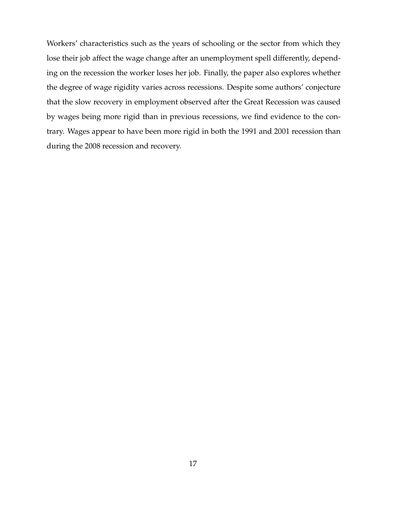Workers' characteristics such as the years of schooling or the sector from which they lose their job affect the wage change after an unemployment spell differently, depending on the recession the worker loses her job. Finally, the paper also explores whether the degree of wage rigidity varies across recessions. Despite some authors' conjecture that the slow recovery in employment observed after the Great Recession was caused by wages being more rigid than in previous recessions, we find evidence to the contrary. Wages appear to have been more rigid in both the 1991 and 2001 recession than during the 2008 recession and recovery.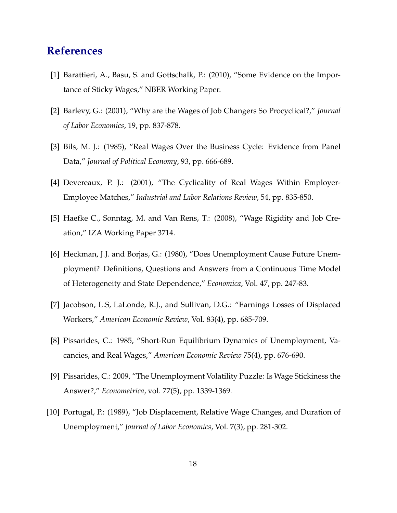### **References**

- [1] Barattieri, A., Basu, S. and Gottschalk, P.: (2010), "Some Evidence on the Importance of Sticky Wages," NBER Working Paper.
- [2] Barlevy, G.: (2001), "Why are the Wages of Job Changers So Procyclical?," *Journal of Labor Economics*, 19, pp. 837-878.
- [3] Bils, M. J.: (1985), "Real Wages Over the Business Cycle: Evidence from Panel Data," *Journal of Political Economy*, 93, pp. 666-689.
- [4] Devereaux, P. J.: (2001), "The Cyclicality of Real Wages Within Employer-Employee Matches," *Industrial and Labor Relations Review*, 54, pp. 835-850.
- [5] Haefke C., Sonntag, M. and Van Rens, T.: (2008), "Wage Rigidity and Job Creation," IZA Working Paper 3714.
- [6] Heckman, J.J. and Borjas, G.: (1980), "Does Unemployment Cause Future Unemployment? Definitions, Questions and Answers from a Continuous Time Model of Heterogeneity and State Dependence," *Economica*, Vol. 47, pp. 247-83.
- [7] Jacobson, L.S, LaLonde, R.J., and Sullivan, D.G.: "Earnings Losses of Displaced Workers," *American Economic Review*, Vol. 83(4), pp. 685-709.
- [8] Pissarides, C.: 1985, "Short-Run Equilibrium Dynamics of Unemployment, Vacancies, and Real Wages," *American Economic Review* 75(4), pp. 676-690.
- [9] Pissarides, C.: 2009, "The Unemployment Volatility Puzzle: Is Wage Stickiness the Answer?," *Econometrica*, vol. 77(5), pp. 1339-1369.
- [10] Portugal, P.: (1989), "Job Displacement, Relative Wage Changes, and Duration of Unemployment," *Journal of Labor Economics*, Vol. 7(3), pp. 281-302.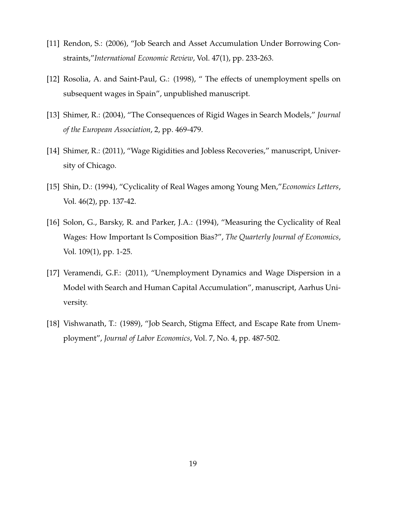- [11] Rendon, S.: (2006), "Job Search and Asset Accumulation Under Borrowing Constraints,"*International Economic Review*, Vol. 47(1), pp. 233-263.
- [12] Rosolia, A. and Saint-Paul, G.: (1998), " The effects of unemployment spells on subsequent wages in Spain", unpublished manuscript.
- [13] Shimer, R.: (2004), "The Consequences of Rigid Wages in Search Models," *Journal of the European Association*, 2, pp. 469-479.
- [14] Shimer, R.: (2011), "Wage Rigidities and Jobless Recoveries," manuscript, University of Chicago.
- [15] Shin, D.: (1994), "Cyclicality of Real Wages among Young Men,"*Economics Letters*, Vol. 46(2), pp. 137-42.
- [16] Solon, G., Barsky, R. and Parker, J.A.: (1994), "Measuring the Cyclicality of Real Wages: How Important Is Composition Bias?", *The Quarterly Journal of Economics*, Vol. 109(1), pp. 1-25.
- [17] Veramendi, G.F.: (2011), "Unemployment Dynamics and Wage Dispersion in a Model with Search and Human Capital Accumulation", manuscript, Aarhus University.
- [18] Vishwanath, T.: (1989), "Job Search, Stigma Effect, and Escape Rate from Unemployment", *Journal of Labor Economics*, Vol. 7, No. 4, pp. 487-502.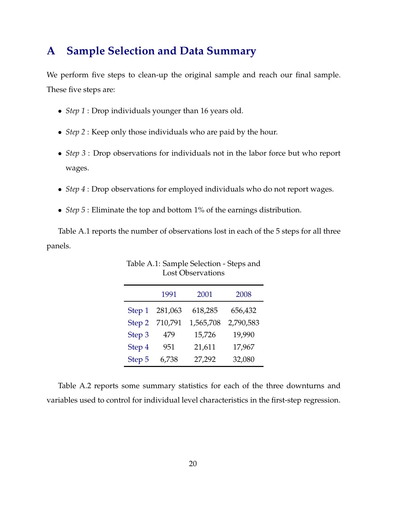# **A Sample Selection and Data Summary**

We perform five steps to clean-up the original sample and reach our final sample. These five steps are:

- *Step 1* : Drop individuals younger than 16 years old.
- *Step 2* : Keep only those individuals who are paid by the hour.
- *Step 3* : Drop observations for individuals not in the labor force but who report wages.
- *Step 4* : Drop observations for employed individuals who do not report wages.
- *Step 5* : Eliminate the top and bottom 1% of the earnings distribution.

Table A.1 reports the number of observations lost in each of the 5 steps for all three panels.

|        | 1991    | 2001      | 2008      |
|--------|---------|-----------|-----------|
| Step 1 | 281,063 | 618,285   | 656,432   |
| Step 2 | 710,791 | 1,565,708 | 2,790,583 |
| Step 3 | 479     | 15,726    | 19,990    |
| Step 4 | 951     | 21,611    | 17,967    |
| Step 5 | 6,738   | 27,292    | 32,080    |

| Table A.1: Sample Selection - Steps and |  |
|-----------------------------------------|--|
| Lost Observations                       |  |

Table A.2 reports some summary statistics for each of the three downturns and variables used to control for individual level characteristics in the first-step regression.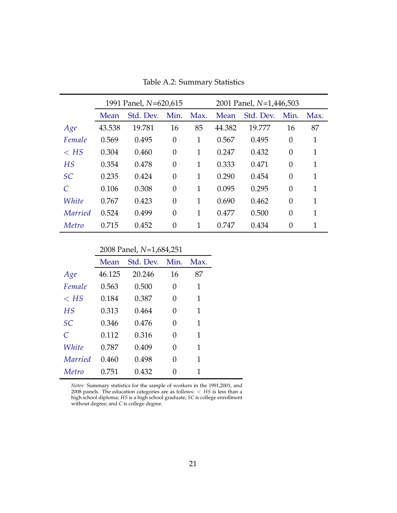|           | 1991 Panel, N=620,615 |           |                  |              | 2001 Panel, N=1,446,503 |           |                |      |
|-----------|-----------------------|-----------|------------------|--------------|-------------------------|-----------|----------------|------|
|           | Mean                  | Std. Dev. | Min.             | Max.         | Mean                    | Std. Dev. | Min.           | Max. |
| Age       | 43.538                | 19.781    | 16               | 85           | 44.382                  | 19.777    | 16             | 87   |
| Female    | 0.569                 | 0.495     | $\boldsymbol{0}$ | 1            | 0.567                   | 0.495     | $\theta$       | 1    |
| $<$ HS    | 0.304                 | 0.460     | 0                | 1            | 0.247                   | 0.432     | $\overline{0}$ | 1    |
| <b>HS</b> | 0.354                 | 0.478     | 0                | 1            | 0.333                   | 0.471     | $\overline{0}$ | 1    |
| <b>SC</b> | 0.235                 | 0.424     | $\overline{0}$   | 1            | 0.290                   | 0.454     | $\theta$       | 1    |
|           | 0.106                 | 0.308     | $\overline{0}$   | 1            | 0.095                   | 0.295     | $\overline{0}$ | 1    |
| White     | 0.767                 | 0.423     | $\theta$         | 1            | 0.690                   | 0.462     | $\overline{0}$ | 1    |
| Married   | 0.524                 | 0.499     | $\overline{0}$   | $\mathbf{1}$ | 0.477                   | 0.500     | $\overline{0}$ | 1    |
| Metro     | 0.715                 | 0.452     | 0                | 1            | 0.747                   | 0.434     | $\overline{0}$ | 1    |

Table A.2: Summary Statistics

|               | 2008 Panel, N=1,684,251 |           |                   |      |  |  |
|---------------|-------------------------|-----------|-------------------|------|--|--|
|               | Mean                    | Std. Dev. | Min.              | Max. |  |  |
| Age           | 46.125                  | 20.246    | 16                | 87   |  |  |
| Female        | 0.563                   | 0.500     | 0                 | 1    |  |  |
| $<$ HS        | 0.184                   | 0.387     | 0                 | 1    |  |  |
| HS            | 0.313                   | 0.464     | 0                 | 1    |  |  |
| <b>SC</b>     | 0.346                   | 0.476     | 0                 | 1    |  |  |
| $\mathcal{C}$ | 0.112                   | 0.316     | 0                 | 1    |  |  |
| White         | 0.787                   | 0.409     | 0                 | 1    |  |  |
| Married       | 0.460                   | 0.498     | 0                 | 1    |  |  |
| Metro         | 0.751                   | 0.432     | $\mathbf{\Omega}$ | 1    |  |  |

*Notes*: Summary statistics for the sample of workers in the 1991,2001, and 2008 panels. The education categories are as follows: < *HS* is less than a high school diploma; *HS* is a high school graduate; *SC* is college enrollment without degree; and *C* is college degree.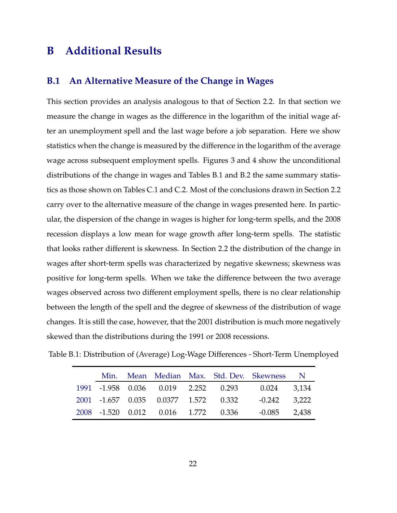## **B Additional Results**

#### **B.1 An Alternative Measure of the Change in Wages**

This section provides an analysis analogous to that of Section 2.2. In that section we measure the change in wages as the difference in the logarithm of the initial wage after an unemployment spell and the last wage before a job separation. Here we show statistics when the change is measured by the difference in the logarithm of the average wage across subsequent employment spells. Figures 3 and 4 show the unconditional distributions of the change in wages and Tables B.1 and B.2 the same summary statistics as those shown on Tables C.1 and C.2. Most of the conclusions drawn in Section 2.2 carry over to the alternative measure of the change in wages presented here. In particular, the dispersion of the change in wages is higher for long-term spells, and the 2008 recession displays a low mean for wage growth after long-term spells. The statistic that looks rather different is skewness. In Section 2.2 the distribution of the change in wages after short-term spells was characterized by negative skewness; skewness was positive for long-term spells. When we take the difference between the two average wages observed across two different employment spells, there is no clear relationship between the length of the spell and the degree of skewness of the distribution of wage changes. It is still the case, however, that the 2001 distribution is much more negatively skewed than the distributions during the 1991 or 2008 recessions.

|  |  |                                      | Min. Mean Median Max. Std. Dev. Skewness N      |  |
|--|--|--------------------------------------|-------------------------------------------------|--|
|  |  |                                      | 1991 -1.958 0.036 0.019 2.252 0.293 0.024 3.134 |  |
|  |  | 2001 -1.657 0.035 0.0377 1.572 0.332 | $-0.242$ 3,222                                  |  |
|  |  | 2008 -1.520 0.012 0.016 1.772 0.336  | $-0.085$ 2.438                                  |  |

Table B.1: Distribution of (Average) Log-Wage Differences - Short-Term Unemployed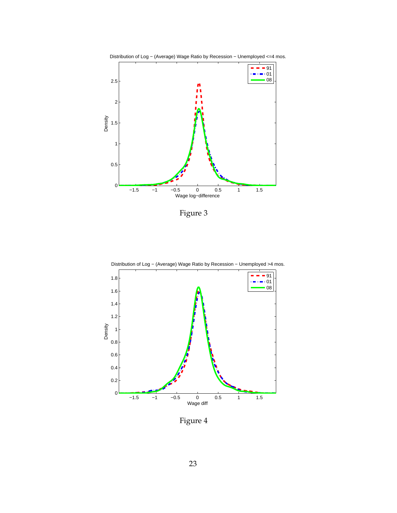

Figure 3



Figure 4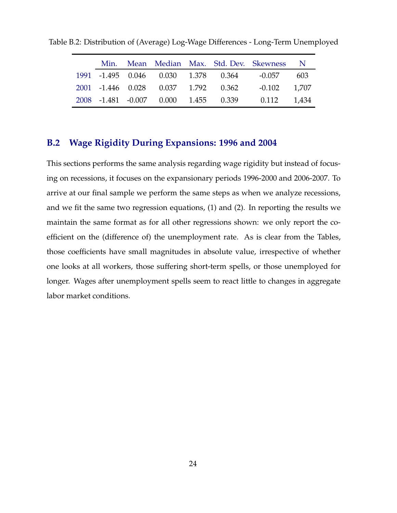|  |  |                                     | Min. Mean Median Max. Std. Dev. Skewness N       |  |
|--|--|-------------------------------------|--------------------------------------------------|--|
|  |  |                                     | 1991 -1.495 0.046 0.030 1.378 0.364 -0.057 603   |  |
|  |  | 2001 -1.446 0.028 0.037 1.792 0.362 | $-0.102$ 1,707                                   |  |
|  |  |                                     | 2008 -1.481 -0.007 0.000 1.455 0.339 0.112 1,434 |  |

Table B.2: Distribution of (Average) Log-Wage Differences - Long-Term Unemployed

#### **B.2 Wage Rigidity During Expansions: 1996 and 2004**

This sections performs the same analysis regarding wage rigidity but instead of focusing on recessions, it focuses on the expansionary periods 1996-2000 and 2006-2007. To arrive at our final sample we perform the same steps as when we analyze recessions, and we fit the same two regression equations, (1) and (2). In reporting the results we maintain the same format as for all other regressions shown: we only report the coefficient on the (difference of) the unemployment rate. As is clear from the Tables, those coefficients have small magnitudes in absolute value, irrespective of whether one looks at all workers, those suffering short-term spells, or those unemployed for longer. Wages after unemployment spells seem to react little to changes in aggregate labor market conditions.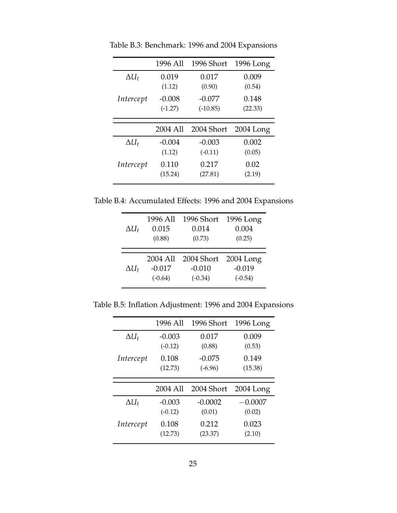|              | 1996 All  | 1996 Short | 1996 Long |
|--------------|-----------|------------|-----------|
| $\Delta U_t$ | 0.019     | 0.017      | 0.009     |
|              | (1.12)    | (0.90)     | (0.54)    |
| Intercept    | $-0.008$  | $-0.077$   | 0.148     |
|              | $(-1.27)$ | $(-10.85)$ | (22.33)   |
|              |           |            |           |
|              |           |            |           |
|              | 2004 All  | 2004 Short | 2004 Long |
| $\Delta U_t$ | $-0.004$  | $-0.003$   | 0.002     |
|              | (1.12)    | $(-0.11)$  | (0.05)    |
| Intercept    | 0.110     | 0.217      | 0.02      |

Table B.3: Benchmark: 1996 and 2004 Expansions

Table B.4: Accumulated Effects: 1996 and 2004 Expansions

| $\Delta U_t$ | 1996 All  | 1996 Short | 1996 Long |
|--------------|-----------|------------|-----------|
|              | 0.015     | 0.014      | 0.004     |
|              | (0.88)    | (0.73)     | (0.25)    |
| $\Delta U_t$ | 2004 All  | 2004 Short | 2004 Long |
|              | $-0.017$  | $-0.010$   | $-0.019$  |
|              | $(-0.64)$ | $(-0.34)$  | $(-0.54)$ |

Table B.5: Inflation Adjustment: 1996 and 2004 Expansions

|              | 1996 All  | 1996 Short | 1996 Long |
|--------------|-----------|------------|-----------|
| $\Delta U_t$ | $-0.003$  | 0.017      | 0.009     |
|              | $(-0.12)$ | (0.88)     | (0.53)    |
| Intercept    | 0.108     | $-0.075$   | 0.149     |
|              | (12.73)   | $(-6.96)$  | (15.38)   |
|              |           |            |           |
|              |           |            |           |
|              | 2004 All  | 2004 Short | 2004 Long |
| $\Delta U_t$ | $-0.003$  | $-0.0002$  | $-0.0007$ |
|              | $(-0.12)$ | (0.01)     | (0.02)    |
| Intercept    | 0.108     | 0.212      | 0.023     |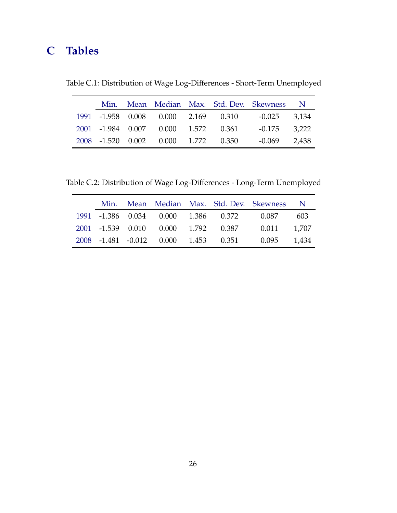# **C Tables**

|  |  |  | Min. Mean Median Max. Std. Dev. Skewness N       |  |
|--|--|--|--------------------------------------------------|--|
|  |  |  | 1991 -1.958 0.008 0.000 2.169 0.310 -0.025 3,134 |  |
|  |  |  | 2001 -1.984 0.007 0.000 1.572 0.361 -0.175 3.222 |  |
|  |  |  | 2008 -1.520 0.002 0.000 1.772 0.350 -0.069 2.438 |  |

Table C.1: Distribution of Wage Log-Differences - Short-Term Unemployed

Table C.2: Distribution of Wage Log-Differences - Long-Term Unemployed

|  |  |  | Min. Mean Median Max. Std. Dev. Skewness N       |  |
|--|--|--|--------------------------------------------------|--|
|  |  |  | 1991 -1.386 0.034 0.000 1.386 0.372 0.087 603    |  |
|  |  |  | 2001 -1.539 0.010 0.000 1.792 0.387 0.011 1,707  |  |
|  |  |  | 2008 -1.481 -0.012 0.000 1.453 0.351 0.095 1,434 |  |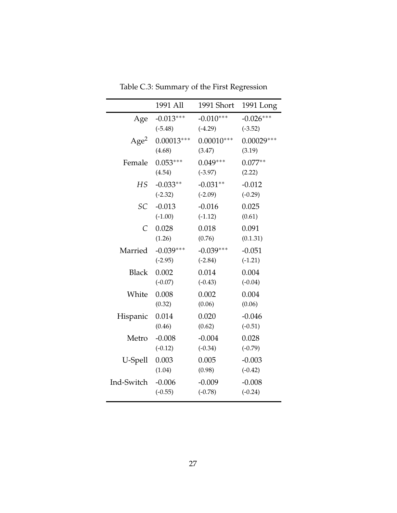|                  | 1991 All     | 1991 Short   | 1991 Long    |
|------------------|--------------|--------------|--------------|
| Age              | $-0.013***$  | $-0.010***$  | $-0.026***$  |
|                  | $(-5.48)$    | $(-4.29)$    | $(-3.52)$    |
| Age <sup>2</sup> | $0.00013***$ | $0.00010***$ | $0.00029***$ |
|                  | (4.68)       | (3.47)       | (3.19)       |
| Female           | $0.053***$   | $0.049***$   | $0.077**$    |
|                  | (4.54)       | $(-3.97)$    | (2.22)       |
| HS               | $-0.033**$   | $-0.031**$   | $-0.012$     |
|                  | $(-2.32)$    | $(-2.09)$    | $(-0.29)$    |
| <b>SC</b>        | $-0.013$     | $-0.016$     | 0.025        |
|                  | $(-1.00)$    | $(-1.12)$    | (0.61)       |
| $\overline{C}$   | 0.028        | 0.018        | 0.091        |
|                  | (1.26)       | (0.76)       | (0.1.31)     |
| Married          | $-0.039***$  | $-0.039***$  | $-0.051$     |
|                  | $(-2.95)$    | $(-2.84)$    | $(-1.21)$    |
| <b>Black</b>     | 0.002        | 0.014        | 0.004        |
|                  | $(-0.07)$    | $(-0.43)$    | $(-0.04)$    |
| White            | 0.008        | 0.002        | 0.004        |
|                  | (0.32)       | (0.06)       | (0.06)       |
| Hispanic         | 0.014        | 0.020        | $-0.046$     |
|                  | (0.46)       | (0.62)       | $(-0.51)$    |
| Metro            | $-0.008$     | $-0.004$     | 0.028        |
|                  | $(-0.12)$    | $(-0.34)$    | $(-0.79)$    |
| U-Spell          | 0.003        | 0.005        | $-0.003$     |
|                  | (1.04)       | (0.98)       | $(-0.42)$    |
| Ind-Switch       | $-0.006$     | $-0.009$     | $-0.008$     |
|                  | $(-0.55)$    | $(-0.78)$    | $(-0.24)$    |

Table C.3: Summary of the First Regression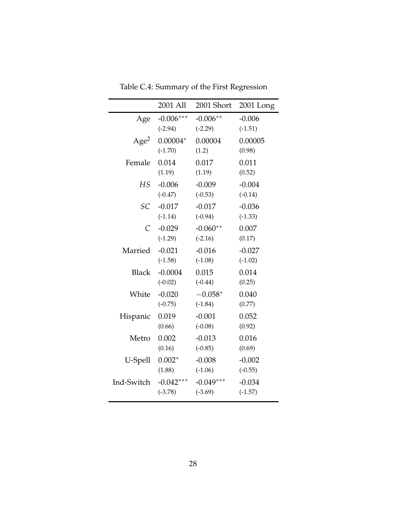| 2001 All    | 2001 Short  | 2001 Long |
|-------------|-------------|-----------|
| $-0.006***$ | $-0.006**$  | $-0.006$  |
| $(-2.94)$   | $(-2.29)$   | $(-1.51)$ |
| $0.00004*$  | 0.00004     | 0.00005   |
| $(-1.70)$   | (1.2)       | (0.98)    |
| 0.014       | 0.017       | 0.011     |
| (1.19)      | (1.19)      | (0.52)    |
| $-0.006$    | $-0.009$    | $-0.004$  |
| $(-0.47)$   | $(-0.53)$   | $(-0.14)$ |
| $-0.017$    | $-0.017$    | $-0.036$  |
| $(-1.14)$   | $(-0.94)$   | $(-1.33)$ |
| $-0.029$    | $-0.060**$  | 0.007     |
| $(-1.29)$   | $(-2.16)$   | (0.17)    |
| $-0.021$    | $-0.016$    | $-0.027$  |
| $(-1.58)$   | $(-1.08)$   | $(-1.02)$ |
| $-0.0004$   | 0.015       | 0.014     |
| $(-0.02)$   | $(-0.44)$   | (0.25)    |
| $-0.020$    | $-0.058*$   | 0.040     |
| $(-0.75)$   | $(-1.84)$   | (0.77)    |
| 0.019       | $-0.001$    | 0.052     |
| (0.66)      | $(-0.08)$   | (0.92)    |
| 0.002       | $-0.013$    | 0.016     |
| (0.16)      | $(-0.85)$   | (0.69)    |
| $0.002*$    | $-0.008$    | $-0.002$  |
| (1.88)      | $(-1.06)$   | $(-0.55)$ |
| $-0.042***$ | $-0.049***$ | $-0.034$  |
| $(-3.78)$   | $(-3.69)$   | $(-1.57)$ |
|             |             |           |

Table C.4: Summary of the First Regression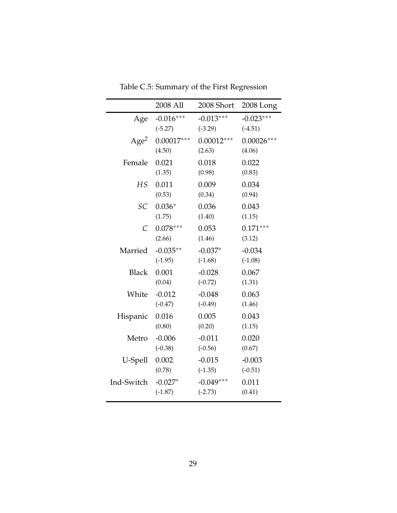|                  | 2008 All     | 2008 Short   | 2008 Long    |
|------------------|--------------|--------------|--------------|
| Age              | $-0.016***$  | $-0.013***$  | $-0.023***$  |
|                  | $(-5.27)$    | $(-3.29)$    | $(-4.51)$    |
| Age <sup>2</sup> | $0.00017***$ | $0.00012***$ | $0.00026***$ |
|                  | (4.50)       | (2.63)       | (4.06)       |
| Female           | 0.021        | 0.018        | 0.022        |
|                  | (1.35)       | (0.98)       | (0.83)       |
| HS               | 0.011        | 0.009        | 0.034        |
|                  | (0.53)       | (0.34)       | (0.94)       |
| <b>SC</b>        | $0.036*$     | 0.036        | 0.043        |
|                  | (1.75)       | (1.40)       | (1.15)       |
| C                | $0.078***$   | 0.053        | $0.171***$   |
|                  | (2.66)       | (1.46)       | (3.12)       |
| Married          | $-0.035**$   | $-0.037*$    | $-0.034$     |
|                  | $(-1.95)$    | $(-1.68)$    | $(-1.08)$    |
| <b>Black</b>     | 0.001        | $-0.028$     | 0.067        |
|                  | (0.04)       | $(-0.72)$    | (1.31)       |
| White            | $-0.012$     | $-0.048$     | 0.063        |
|                  | $(-0.47)$    | $(-0.49)$    | (1.46)       |
| Hispanic         | 0.016        | 0.005        | 0.043        |
|                  | (0.80)       | (0.20)       | (1.15)       |
| Metro            | $-0.006$     | $-0.011$     | 0.020        |
|                  | $(-0.38)$    | $(-0.56)$    | (0.67)       |
| U-Spell          | 0.002        | $-0.015$     | $-0.003$     |
|                  | (0.78)       | $(-1.35)$    | $(-0.51)$    |
| Ind-Switch       | $-0.027*$    | $-0.049***$  | 0.011        |
|                  | $(-1.87)$    | $(-2.73)$    | (0.41)       |

Table C.5: Summary of the First Regression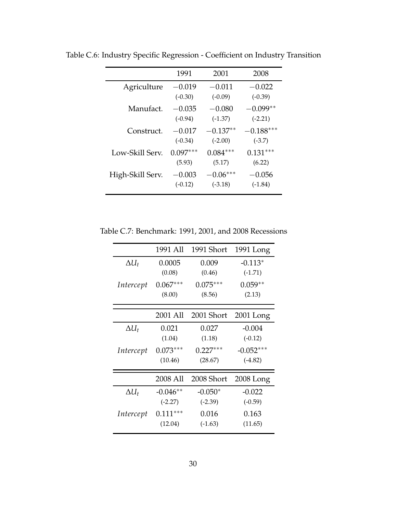|                  | 1991       | 2001       | 2008        |
|------------------|------------|------------|-------------|
| Agriculture      | $-0.019$   | $-0.011$   | $-0.022$    |
|                  | $(-0.30)$  | $(-0.09)$  | $(-0.39)$   |
| Manufact.        | $-0.035$   | $-0.080$   | $-0.099**$  |
|                  | $(-0.94)$  | $(-1.37)$  | $(-2.21)$   |
| Construct.       | $-0.017$   | $-0.137**$ | $-0.188***$ |
|                  | $(-0.34)$  | $(-2.00)$  | $(-3.7)$    |
| Low-Skill Serv.  | $0.097***$ | $0.084***$ | $0.131***$  |
|                  | (5.93)     | (5.17)     | (6.22)      |
| High-Skill Serv. | $-0.003\,$ | $-0.06***$ | $-0.056$    |
|                  | $(-0.12)$  | $(-3.18)$  | $(-1.84)$   |

Table C.6: Industry Specific Regression - Coefficient on Industry Transition

Table C.7: Benchmark: 1991, 2001, and 2008 Recessions

|              | 1991 All   | 1991 Short | 1991 Long   |
|--------------|------------|------------|-------------|
| $\Delta U_t$ | 0.0005     | 0.009      | $-0.113*$   |
|              | (0.08)     | (0.46)     | $(-1.71)$   |
| Intercept    | $0.067***$ | $0.075***$ | $0.059**$   |
|              | (8.00)     | (8.56)     | (2.13)      |
|              | 2001 All   | 2001 Short | 2001 Long   |
| $\Delta U_t$ | 0.021      | 0.027      | $-0.004$    |
|              | (1.04)     | (1.18)     | $(-0.12)$   |
| Intercept    | $0.073***$ | $0.227***$ | $-0.052***$ |
|              | (10.46)    | (28.67)    | $(-4.82)$   |
|              | 2008 All   | 2008 Short | 2008 Long   |
| $\Delta U_t$ | $-0.046**$ | $-0.050*$  | $-0.022$    |
|              | $(-2.27)$  | $(-2.39)$  | $(-0.59)$   |
| Intercept    |            |            |             |
|              | $0.111***$ | 0.016      | 0.163       |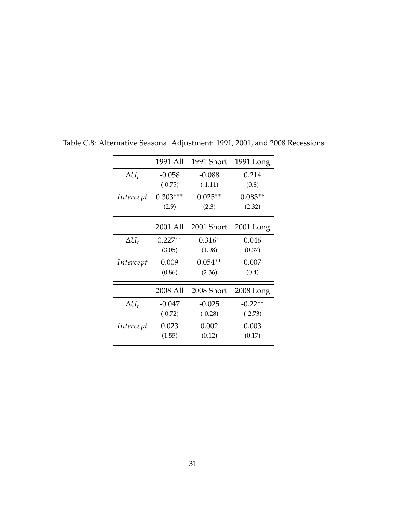|              | 1991 All   | 1991 Short | 1991 Long |
|--------------|------------|------------|-----------|
| $\Delta U_t$ | $-0.058$   | $-0.088$   | 0.214     |
|              | $(-0.75)$  | $(-1.11)$  | (0.8)     |
| Intercept    | $0.303***$ | $0.025**$  | $0.083**$ |
|              | (2.9)      | (2.3)      | (2.32)    |
|              | 2001 All   | 2001 Short | 2001 Long |
| $\Delta U_t$ | $0.227**$  | $0.316*$   | 0.046     |
|              | (3.05)     | (1.98)     | (0.37)    |
| Intercept    | 0.009      | $0.054**$  | 0.007     |
|              | (0.86)     | (2.36)     | (0.4)     |
|              | 2008 All   | 2008 Short | 2008 Long |
| $\Delta U_t$ | $-0.047$   | $-0.025$   | $-0.22**$ |
|              | $(-0.72)$  | $(-0.28)$  | $(-2.73)$ |
| Intercept    | 0.023      | 0.002      | 0.003     |
|              | (1.55)     | (0.12)     | (0.17)    |

Table C.8: Alternative Seasonal Adjustment: 1991, 2001, and 2008 Recessions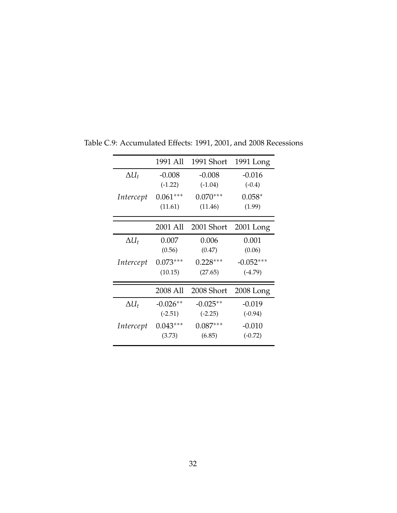|              | 1991 All   | 1991 Short | 1991 Long   |
|--------------|------------|------------|-------------|
| $\Delta U_t$ | $-0.008$   | $-0.008$   | $-0.016$    |
|              | $(-1.22)$  | $(-1.04)$  | $(-0.4)$    |
| Intercept    | $0.061***$ | $0.070***$ | $0.058*$    |
|              | (11.61)    | (11.46)    | (1.99)      |
|              | 2001 All   | 2001 Short | 2001 Long   |
| $\Delta U_t$ | 0.007      | 0.006      | 0.001       |
|              | (0.56)     | (0.47)     | (0.06)      |
| Intercept    | $0.073***$ | $0.228***$ | $-0.052***$ |
|              | (10.15)    | (27.65)    | $(-4.79)$   |
|              | 2008 All   | 2008 Short | 2008 Long   |
| $\Delta U_t$ | $-0.026**$ | $-0.025**$ | $-0.019$    |
|              | $(-2.51)$  | $(-2.25)$  | $(-0.94)$   |
| Intercept    | $0.043***$ | $0.087***$ | $-0.010$    |
|              | (3.73)     | (6.85)     | $(-0.72)$   |

Table C.9: Accumulated Effects: 1991, 2001, and 2008 Recessions